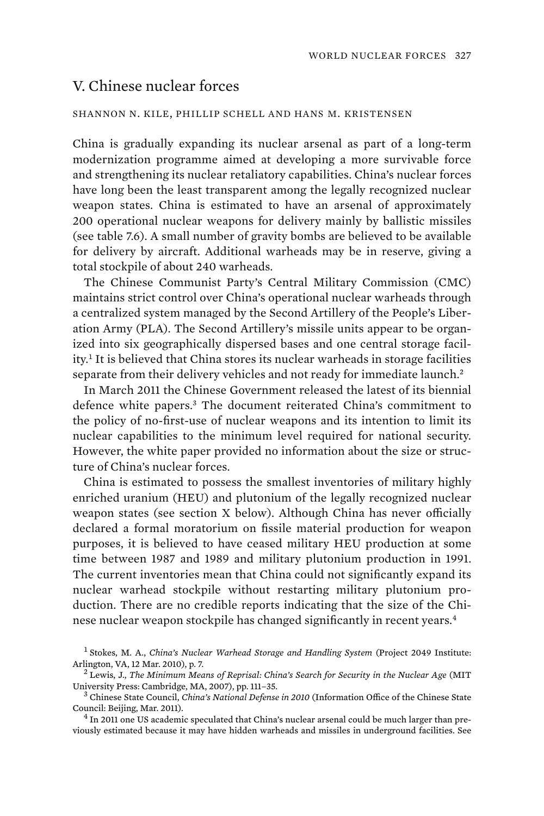# V. Chinese nuclear forces

#### SHANNON N. KILE, PHILLIP SCHELL AND HANS M. KRISTENSEN

China is gradually expanding its nuclear arsenal as part of a long-term modernization programme aimed at developing a more survivable force and strengthening its nuclear retaliatory capabilities. China's nuclear forces have long been the least transparent among the legally recognized nuclear weapon states. China is estimated to have an arsenal of approximately 200 operational nuclear weapons for delivery mainly by ballistic missiles (see table 7.6). A small number of gravity bombs are believed to be available for delivery by aircraft. Additional warheads may be in reserve, giving a total stockpile of about 240 warheads.

The Chinese Communist Party's Central Military Commission (CMC) maintains strict control over China's operational nuclear warheads through a centralized system managed by the Second Artillery of the People's Liberation Army (PLA). The Second Artillery's missile units appear to be organized into six geographically dispersed bases and one central storage facility.<sup>1</sup> It is believed that China stores its nuclear warheads in storage facilities separate from their delivery vehicles and not ready for immediate launch.<sup>2</sup>

 In March 2011 the Chinese Government released the latest of its biennial defence white papers.<sup>3</sup> The document reiterated China's commitment to the policy of no-first-use of nuclear weapons and its intention to limit its nuclear capabilities to the minimum level required for national security. However, the white paper provided no information about the size or structure of China's nuclear forces.

China is estimated to possess the smallest inventories of military highly enriched uranium (HEU) and plutonium of the legally recognized nuclear weapon states (see section X below). Although China has never officially declared a formal moratorium on fissile material production for weapon purposes, it is believed to have ceased military HEU production at some time between 1987 and 1989 and military plutonium production in 1991. The current inventories mean that China could not significantly expand its nuclear warhead stockpile without restarting military plutonium production. There are no credible reports indicating that the size of the Chinese nuclear weapon stockpile has changed significantly in recent years.<sup>4</sup>

<sup>1</sup> Stokes, M. A., *China's Nuclear Warhead Storage and Handling System* (Project 2049 Institute: Arlington, VA, 12 Mar. 2010), p. 7.

Lewis, J., *The Minimum Means of Reprisal: China's Search for Security in the Nuclear Age* (MIT University Press: Cambridge, MA, 2007), pp. 111–35. <sup>3</sup>

Chinese State Council, *China's National Defense in 2010* (Information Office of the Chinese State Council: Beijing, Mar. 2011). <sup>4</sup>

 $<sup>4</sup>$  In 2011 one US academic speculated that China's nuclear arsenal could be much larger than pre-</sup> viously estimated because it may have hidden warheads and missiles in underground facilities. See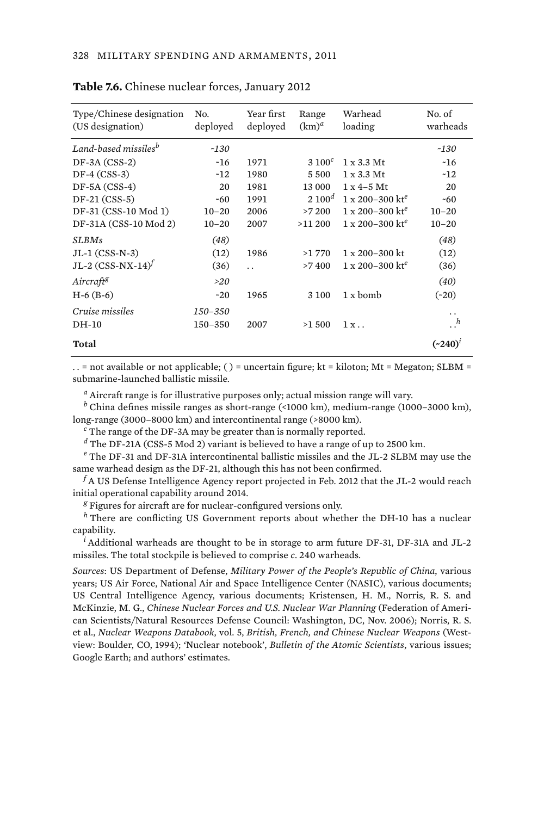| Type/Chinese designation<br>(US designation) | No.<br>deployed | Year first<br>deployed | Range<br>$(km)^a$ | Warhead<br>loading                   | No. of<br>warheads   |
|----------------------------------------------|-----------------|------------------------|-------------------|--------------------------------------|----------------------|
| Land-based missiles <sup>b</sup>             | $-130$          |                        |                   |                                      | $-130$               |
| $DF-3A (CSS-2)$                              | ~16             | 1971                   | $3\ 100^c$        | $1 \times 3.3$ Mt                    | ~16                  |
| $DF-4 (CSS-3)$                               | $-12$           | 1980                   | 5500              | $1 \times 3.3$ Mt                    | ~12                  |
| $DF-5A (CSS-4)$                              | 20              | 1981                   | 13 000            | $1 \times 4 - 5$ Mt                  | 20                   |
| $DF-21 (CSS-5)$                              | $-60$           | 1991                   | $2.100^{d}$       | $1 \times 200 - 300$ kt <sup>e</sup> | $-60$                |
| DF-31 (CSS-10 Mod 1)                         | $10 - 20$       | 2006                   | >7200             | $1 \times 200 - 300$ kt <sup>e</sup> | $10 - 20$            |
| DF-31A (CSS-10 Mod 2)                        | $10 - 20$       | 2007                   | $>11\,200$        | $1 \times 200 - 300$ kt <sup>e</sup> | $10 - 20$            |
| <b>SLBMs</b>                                 | (48)            |                        |                   |                                      | (48)                 |
| $JL-1$ (CSS-N-3)                             | (12)            | 1986                   | >1770             | $1 \times 200 - 300$ kt              | (12)                 |
| JL-2 $(CSS-NX-14)^f$                         | (36)            | $\ddot{\phantom{0}}$   | >7400             | $1 \times 200 - 300$ kt <sup>e</sup> | (36)                 |
| Aircraft <sup>g</sup>                        | >20             |                        |                   |                                      | (40)                 |
| $H-6$ ( $B-6$ )                              | $-20$           | 1965                   | 3 100             | 1 x bomb                             | $(*20)$              |
| Cruise missiles                              | 150-350         |                        |                   |                                      | $\ddot{\phantom{0}}$ |
| DH-10                                        | $150 - 350$     | 2007                   | >1500             | 1x                                   | $\cdot$ . $^h$       |
| Total                                        |                 |                        |                   |                                      | $({\sim}240)^t$      |

#### **Table 7.6.** Chinese nuclear forces, January 2012

.. = not available or not applicable; () = uncertain figure; kt = kiloton; Mt = Megaton; SLBM = submarine-launched ballistic missile.

*a* Aircraft range is for illustrative purposes only; actual mission range will vary.

*b* China defines missile ranges as short-range (<1000 km), medium-range (1000–3000 km), long-range (3000–8000 km) and intercontinental range (>8000 km).

*c* The range of the DF-3A may be greater than is normally reported.

*d* The DF-21A (CSS-5 Mod 2) variant is believed to have a range of up to 2500 km.

*e* The DF-31 and DF-31A intercontinental ballistic missiles and the JL-2 SLBM may use the same warhead design as the DF-21, although this has not been confirmed.

 $^f$ A US Defense Intelligence Agency report projected in Feb. 2012 that the JL-2 would reach initial operational capability around 2014.

*g* Figures for aircraft are for nuclear-configured versions only.

*<sup>h</sup>* There are conflicting US Government reports about whether the DH-10 has a nuclear capability.

*i* Additional warheads are thought to be in storage to arm future DF-31, DF-31A and JL-2 missiles. The total stockpile is believed to comprise *c*. 240 warheads.

*Sources*: US Department of Defense, *Military Power of the People's Republic of China*, various years; US Air Force, National Air and Space Intelligence Center (NASIC), various documents; US Central Intelligence Agency, various documents; Kristensen, H. M., Norris, R. S. and McKinzie, M. G., *Chinese Nuclear Forces and U.S. Nuclear War Planning* (Federation of American Scientists/Natural Resources Defense Council: Washington, DC, Nov. 2006); Norris, R. S. et al., *Nuclear Weapons Databook*, vol. 5, *British, French, and Chinese Nuclear Weapons* (Westview: Boulder, CO, 1994); 'Nuclear notebook', *Bulletin of the Atomic Scientists*, various issues; Google Earth; and authors' estimates.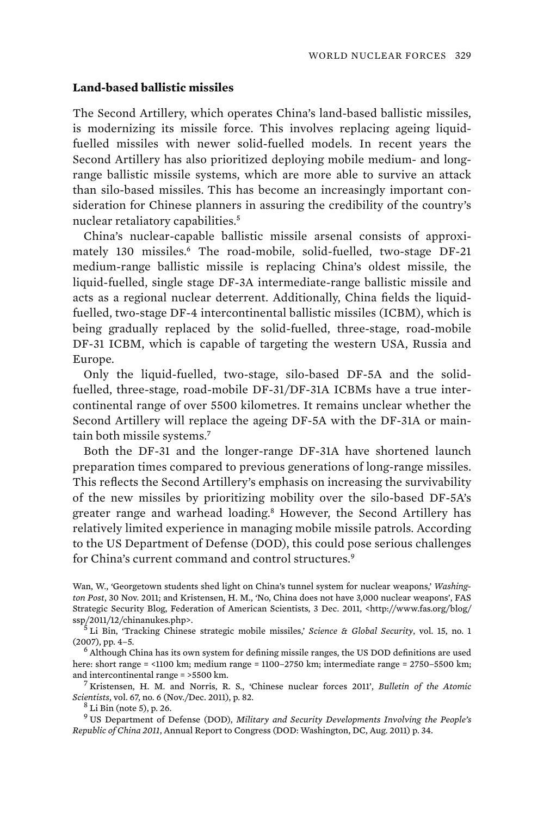## **Land-based ballistic missiles**

The Second Artillery, which operates China's land-based ballistic missiles, is modernizing its missile force. This involves replacing ageing liquidfuelled missiles with newer solid-fuelled models. In recent years the Second Artillery has also prioritized deploying mobile medium- and longrange ballistic missile systems, which are more able to survive an attack than silo-based missiles. This has become an increasingly important consideration for Chinese planners in assuring the credibility of the country's nuclear retaliatory capabilities.<sup>5</sup>

China's nuclear-capable ballistic missile arsenal consists of approximately 130 missiles.<sup>6</sup> The road-mobile, solid-fuelled, two-stage DF-21 medium-range ballistic missile is replacing China's oldest missile, the liquid-fuelled, single stage DF-3A intermediate-range ballistic missile and acts as a regional nuclear deterrent. Additionally, China fields the liquidfuelled, two-stage DF-4 intercontinental ballistic missiles (ICBM), which is being gradually replaced by the solid-fuelled, three-stage, road-mobile DF-31 ICBM, which is capable of targeting the western USA, Russia and Europe.

Only the liquid-fuelled, two-stage, silo-based DF-5A and the solidfuelled, three-stage, road-mobile DF-31/DF-31A ICBMs have a true intercontinental range of over 5500 kilometres. It remains unclear whether the Second Artillery will replace the ageing DF-5A with the DF-31A or maintain both missile systems.<sup>7</sup>

Both the DF-31 and the longer-range DF-31A have shortened launch preparation times compared to previous generations of long-range missiles. This reflects the Second Artillery's emphasis on increasing the survivability of the new missiles by prioritizing mobility over the silo-based DF-5A's greater range and warhead loading.<sup>8</sup> However, the Second Artillery has relatively limited experience in managing mobile missile patrols. According to the US Department of Defense (DOD), this could pose serious challenges for China's current command and control structures.<sup>9</sup>

Wan, W., 'Georgetown students shed light on China's tunnel system for nuclear weapons,' *Washington Post*, 30 Nov. 2011; and Kristensen, H. M., 'No, China does not have 3,000 nuclear weapons', FAS Strategic Security Blog, Federation of American Scientists, 3 Dec. 2011, <http://www.fas.org/blog/ ssp/2011/12/chinanukes.php>.

 Li Bin, 'Tracking Chinese strategic mobile missiles,' *Science & Global Security*, vol. 15, no. 1  $(2007)$ , pp. 4-5.

 Although China has its own system for defining missile ranges, the US DOD definitions are used here: short range = <1100 km; medium range = 1100–2750 km; intermediate range = 2750–5500 km; and intercontinental range = >5500 km. <sup>7</sup>

 Kristensen, H. M. and Norris, R. S., 'Chinese nuclear forces 2011', *Bulletin of the Atomic Scientists*, vol. 67, no. 6 (Nov./Dec. 2011), p. 82. <sup>8</sup>

 $8$  Li Bin (note 5), p. 26.

9 US Department of Defense (DOD), *Military and Security Developments Involving the People's Republic of China 2011*, Annual Report to Congress (DOD: Washington, DC, Aug. 2011) p. 34.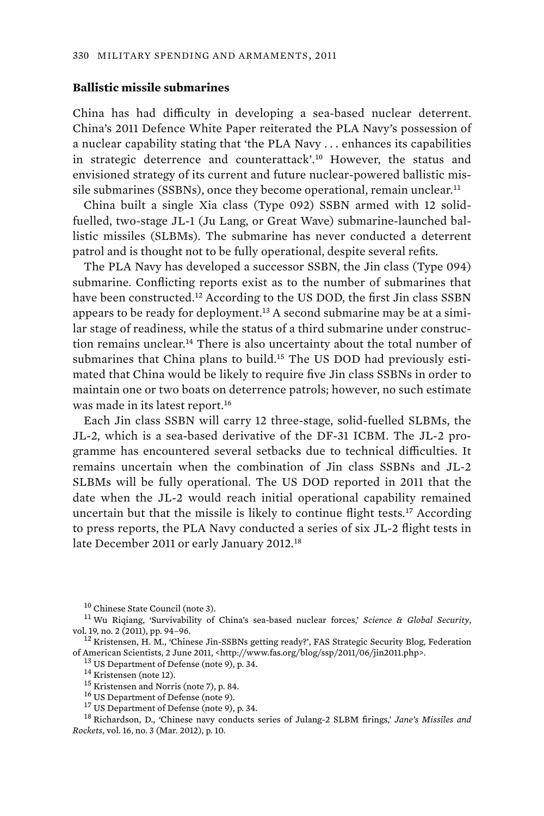## **Ballistic missile submarines**

China has had difficulty in developing a sea-based nuclear deterrent. China's 2011 Defence White Paper reiterated the PLA Navy's possession of a nuclear capability stating that 'the PLA Navy . . . enhances its capabilities in strategic deterrence and counterattack'.<sup>10</sup> However, the status and envisioned strategy of its current and future nuclear-powered ballistic missile submarines (SSBNs), once they become operational, remain unclear.<sup>11</sup>

China built a single Xia class (Type 092) SSBN armed with 12 solidfuelled, two-stage JL-1 (Ju Lang, or Great Wave) submarine-launched ballistic missiles (SLBMs). The submarine has never conducted a deterrent patrol and is thought not to be fully operational, despite several refits.

The PLA Navy has developed a successor SSBN, the Jin class (Type 094) submarine. Conflicting reports exist as to the number of submarines that have been constructed.<sup>12</sup> According to the US DOD, the first Jin class SSBN appears to be ready for deployment.<sup>13</sup> A second submarine may be at a similar stage of readiness, while the status of a third submarine under construction remains unclear.<sup>14</sup> There is also uncertainty about the total number of submarines that China plans to build.<sup>15</sup> The US DOD had previously estimated that China would be likely to require five Jin class SSBNs in order to maintain one or two boats on deterrence patrols; however, no such estimate was made in its latest report.<sup>16</sup>

Each Jin class SSBN will carry 12 three-stage, solid-fuelled SLBMs, the JL-2, which is a sea-based derivative of the DF-31 ICBM. The JL-2 programme has encountered several setbacks due to technical difficulties. It remains uncertain when the combination of Jin class SSBNs and JL-2 SLBMs will be fully operational. The US DOD reported in 2011 that the date when the JL-2 would reach initial operational capability remained uncertain but that the missile is likely to continue flight tests.<sup>17</sup> According to press reports, the PLA Navy conducted a series of six JL-2 flight tests in late December 2011 or early January 2012.<sup>18</sup>

<sup>12</sup> Kristensen, H. M., 'Chinese Jin-SSBNs getting ready?', FAS Strategic Security Blog, Federation % of American Scientists, 2 June 2011, <http://www.fas.org/blog/ssp/2011/06/jin2011.php>.<br>  $^{13}$  US Department of Defense (note 9), p. 34.<br>  $^{14}$  Kristensen (note 12).<br>  $^{15}$  Kristensen and Norris (note 7), p. 84.<br>  $^{1$ 

*Rockets*, vol. 16, no. 3 (Mar. 2012), p. 10.

<sup>10</sup> Chinese State Council (note 3). 11 Wu Riqiang, 'Survivability of China's sea-based nuclear forces,' *Science & Global Security*,